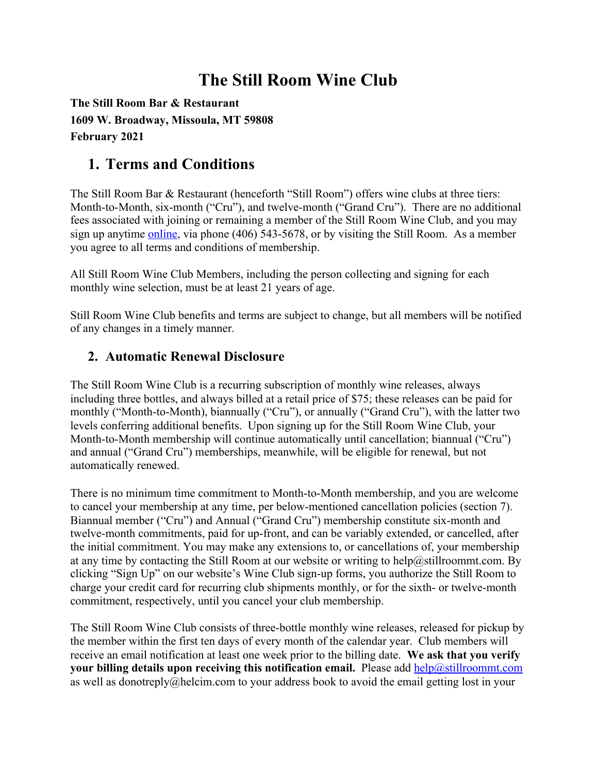# **The Still Room Wine Club**

**The Still Room Bar & Restaurant 1609 W. Broadway, Missoula, MT 59808 February 2021**

## **1. Terms and Conditions**

The Still Room Bar & Restaurant (henceforth "Still Room") offers wine clubs at three tiers: Month-to-Month, six-month ("Cru"), and twelve-month ("Grand Cru"). There are no additional fees associated with joining or remaining a member of the Still Room Wine Club, and you may sign up anytime [online,](http://www.stillroommt.com/) via phone (406) 543-5678, or by visiting the Still Room. As a member you agree to all terms and conditions of membership.

All Still Room Wine Club Members, including the person collecting and signing for each monthly wine selection, must be at least 21 years of age.

Still Room Wine Club benefits and terms are subject to change, but all members will be notified of any changes in a timely manner.

#### **2. Automatic Renewal Disclosure**

The Still Room Wine Club is a recurring subscription of monthly wine releases, always including three bottles, and always billed at a retail price of \$75; these releases can be paid for monthly ("Month-to-Month), biannually ("Cru"), or annually ("Grand Cru"), with the latter two levels conferring additional benefits. Upon signing up for the Still Room Wine Club, your Month-to-Month membership will continue automatically until cancellation; biannual ("Cru") and annual ("Grand Cru") memberships, meanwhile, will be eligible for renewal, but not automatically renewed.

There is no minimum time commitment to Month-to-Month membership, and you are welcome to cancel your membership at any time, per below-mentioned cancellation policies (section 7). Biannual member ("Cru") and Annual ("Grand Cru") membership constitute six-month and twelve-month commitments, paid for up-front, and can be variably extended, or cancelled, after the initial commitment. You may make any extensions to, or cancellations of, your membership at any time by contacting the Still Room at our website or writing to help@stillroommt.com. By clicking "Sign Up" on our website's Wine Club sign-up forms, you authorize the Still Room to charge your credit card for recurring club shipments monthly, or for the sixth- or twelve-month commitment, respectively, until you cancel your club membership.

The Still Room Wine Club consists of three-bottle monthly wine releases, released for pickup by the member within the first ten days of every month of the calendar year. Club members will receive an email notification at least one week prior to the billing date. **We ask that you verify your billing details upon receiving this notification email.** Please add [help@stillroommt.com](mailto:help@stillroommt.com) as well as donotreply@helcim.com to your address book to avoid the email getting lost in your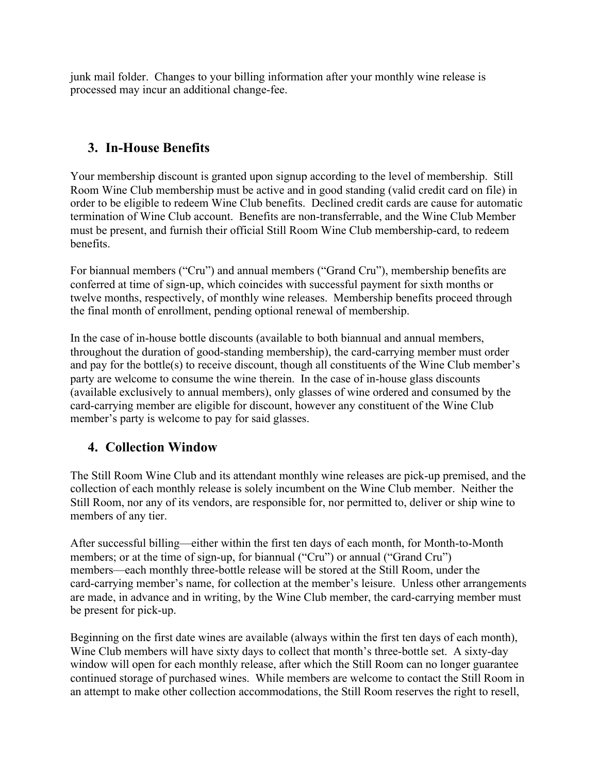junk mail folder. Changes to your billing information after your monthly wine release is processed may incur an additional change-fee.

### **3. In-House Benefits**

Your membership discount is granted upon signup according to the level of membership. Still Room Wine Club membership must be active and in good standing (valid credit card on file) in order to be eligible to redeem Wine Club benefits. Declined credit cards are cause for automatic termination of Wine Club account. Benefits are non-transferrable, and the Wine Club Member must be present, and furnish their official Still Room Wine Club membership-card, to redeem benefits.

For biannual members ("Cru") and annual members ("Grand Cru"), membership benefits are conferred at time of sign-up, which coincides with successful payment for sixth months or twelve months, respectively, of monthly wine releases. Membership benefits proceed through the final month of enrollment, pending optional renewal of membership.

In the case of in-house bottle discounts (available to both biannual and annual members, throughout the duration of good-standing membership), the card-carrying member must order and pay for the bottle(s) to receive discount, though all constituents of the Wine Club member's party are welcome to consume the wine therein. In the case of in-house glass discounts (available exclusively to annual members), only glasses of wine ordered and consumed by the card-carrying member are eligible for discount, however any constituent of the Wine Club member's party is welcome to pay for said glasses.

## **4. Collection Window**

The Still Room Wine Club and its attendant monthly wine releases are pick-up premised, and the collection of each monthly release is solely incumbent on the Wine Club member. Neither the Still Room, nor any of its vendors, are responsible for, nor permitted to, deliver or ship wine to members of any tier.

After successful billing—either within the first ten days of each month, for Month-to-Month members; or at the time of sign-up, for biannual ("Cru") or annual ("Grand Cru") members—each monthly three-bottle release will be stored at the Still Room, under the card-carrying member's name, for collection at the member's leisure. Unless other arrangements are made, in advance and in writing, by the Wine Club member, the card-carrying member must be present for pick-up.

Beginning on the first date wines are available (always within the first ten days of each month), Wine Club members will have sixty days to collect that month's three-bottle set. A sixty-day window will open for each monthly release, after which the Still Room can no longer guarantee continued storage of purchased wines. While members are welcome to contact the Still Room in an attempt to make other collection accommodations, the Still Room reserves the right to resell,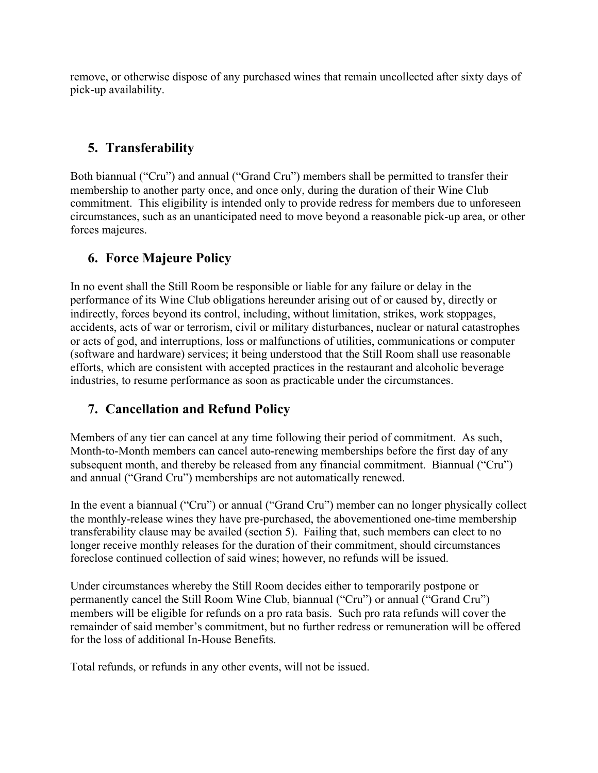remove, or otherwise dispose of any purchased wines that remain uncollected after sixty days of pick-up availability.

### **5. Transferability**

Both biannual ("Cru") and annual ("Grand Cru") members shall be permitted to transfer their membership to another party once, and once only, during the duration of their Wine Club commitment. This eligibility is intended only to provide redress for members due to unforeseen circumstances, such as an unanticipated need to move beyond a reasonable pick-up area, or other forces majeures.

#### **6. Force Majeure Policy**

In no event shall the Still Room be responsible or liable for any failure or delay in the performance of its Wine Club obligations hereunder arising out of or caused by, directly or indirectly, forces beyond its control, including, without limitation, strikes, work stoppages, accidents, acts of war or terrorism, civil or military disturbances, nuclear or natural catastrophes or acts of god, and interruptions, loss or malfunctions of utilities, communications or computer (software and hardware) services; it being understood that the Still Room shall use reasonable efforts, which are consistent with accepted practices in the restaurant and alcoholic beverage industries, to resume performance as soon as practicable under the circumstances.

#### **7. Cancellation and Refund Policy**

Members of any tier can cancel at any time following their period of commitment. As such, Month-to-Month members can cancel auto-renewing memberships before the first day of any subsequent month, and thereby be released from any financial commitment. Biannual ("Cru") and annual ("Grand Cru") memberships are not automatically renewed.

In the event a biannual ("Cru") or annual ("Grand Cru") member can no longer physically collect the monthly-release wines they have pre-purchased, the abovementioned one-time membership transferability clause may be availed (section 5). Failing that, such members can elect to no longer receive monthly releases for the duration of their commitment, should circumstances foreclose continued collection of said wines; however, no refunds will be issued.

Under circumstances whereby the Still Room decides either to temporarily postpone or permanently cancel the Still Room Wine Club, biannual ("Cru") or annual ("Grand Cru") members will be eligible for refunds on a pro rata basis. Such pro rata refunds will cover the remainder of said member's commitment, but no further redress or remuneration will be offered for the loss of additional In-House Benefits.

Total refunds, or refunds in any other events, will not be issued.